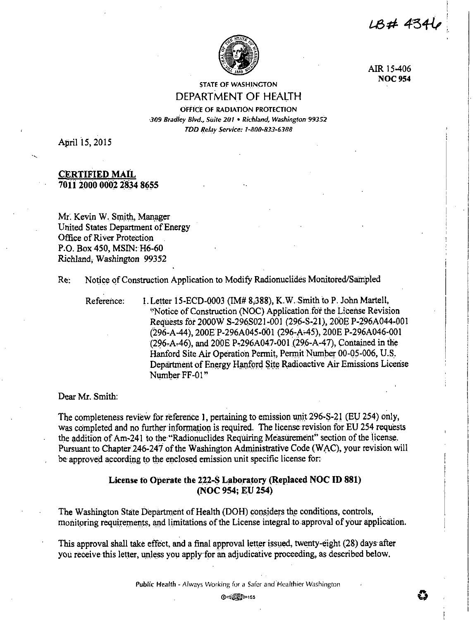LB# 4346



AIR 15-406 **NOC 954** 

# **STATE OF WASHINGTON** DEPARTMENT OF HEALTH

OFFICE OF RADIATION PROTECTION 309 Bradley Blvd., Suite 201 . Richland, Washington 99352 TDD Relay Service: 1-800-833-6388

April 15, 2015

# **CERTIFIED MAIL** 7011 2000 0002 2834 8655

Mr. Kevin W. Smith, Manager United States Department of Energy Office of River Protection P.O. Box 450, MSIN: H6-60 Richland, Washington 99352

Notice of Construction Application to Modify Radionuclides Monitored/Sampled  $Re<sup>2</sup>$ 

Reference:

1. Letter 15-ECD-0003 (IM# 8,388), K.W. Smith to P. John Martell, "Notice of Construction (NOC) Application for the License Revision Requests for 2000W S-296S021-001 (296-S-21), 200E P-296A044-001 (296-A-44), 200E P-296A045-001 (296-A-45), 200E P-296A046-001 (296-A-46), and 200E P-296A047-001 (296-A-47). Contained in the Hanford Site Air Operation Permit, Permit Number 00-05-006, U.S. Department of Energy Hanford Site Radioactive Air Emissions License Number FF-01"

Dear Mr. Smith:

The completeness review for reference 1, pertaining to emission unit 296-S-21 (EU 254) only, was completed and no further information is required. The license revision for EU 254 requests the addition of Am-241 to the "Radionuclides Requiring Measurement" section of the license. Pursuant to Chapter 246-247 of the Washington Administrative Code (WAC), your revision will be approved according to the enclosed emission unit specific license for.

# License to Operate the 222-S Laboratory (Replaced NOC ID 881) (NOC 954; EU 254)

The Washington State Department of Health (DOH) considers the conditions, controls, monitoring requirements, and limitations of the License integral to approval of your application.

This approval shall take effect, and a final approval letter issued, twenty-eight (28) days after you receive this letter, unless you apply for an adjudicative proceeding, as described below.

Public Health - Always Working for a Safer and Healthier Washington

**①中部語**155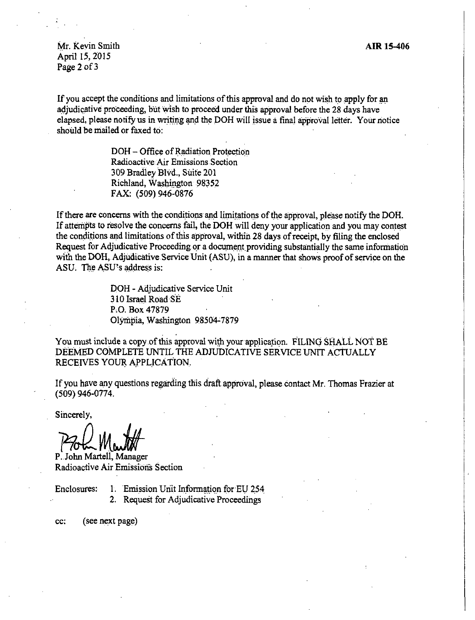AIR lS-406

Mr. Kevin Smith April 15, 2015 Page 2.of 3

If you accept the conditions and limitations of this approval and do not wish to apply for an adjudicative proceeding, but wish to proceed under this approval before the 28 days have elapsed, please notify us in writing and the DOH will issue a final approval letter. Your notice should be mailed or faxed to:

> DOH – Office of Radiation Protection Radioactive Air Emissions Section 309 Bradley Blvd., Suite 201 Richland, Washington 98352 FAX: (509) 946-0876

If there are concerns with the conditions and limitations of the approval, please notify the DOH. If attempts to resolve the concerns fail, the DOH will deny your application and you may contest the conditions and limitations of this approval, within 28 days of receipt, by filing the enclosed Request for Adjudicative Proceeding or a document providing substantially the same information with the DOH, Adjudicative Service Unit (ASU), in a manner that shows proof of service on the ASU. The ASU's address is:

> DOH - Adjudicative Service Unit 310 Israel Road SE P.O. Box 47879 Olympia, Washington 98504-7879

You must include a copy of this approval with your application. FILING SHALL NOT BE DEEMED COMPLETE UNTIL THE ADJUDICATIVE SERVICE UNIT ACTUALLY RECEIVES YOUR APPLICATION.

If you have any questions regarding this draft approval, please. contact Mr. Thomas Frazier at (509) 946-0774. .

Sincerely,

Proba Martin

P. John Martell, Manager Radioactive Air Emissions Section

- Enclosures: 1. Emission Unit Information for EU 254
	- 2. Request for Adjudicative Proceedings

cc: (see next page)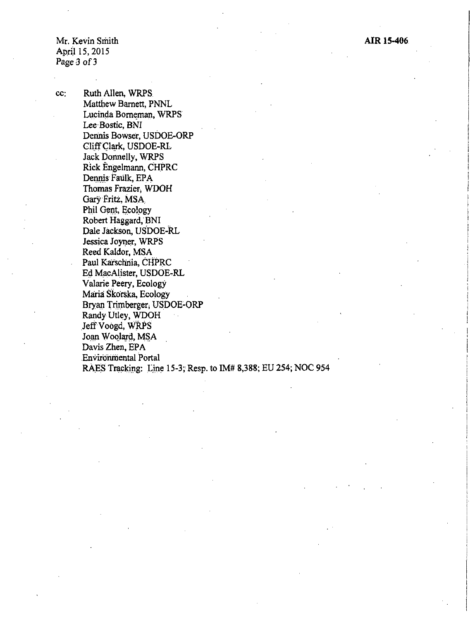Mr. Kevin Smith April 15, 2015 Page 3 of 3

cc: Ruth Allen, WRPS Matthew Barnett, PNNL Lucinda Borneman, WRPS Lee Bostic, BNI Dennis Bowser, USDOE-ORP Cliff Clark, USDOE-RL Jack Donnelly, WRPS Rick Engelmann, CHPRC Dennis Faulk, EPA Thomas Frazier, WDOH Gary Fritz, MSA Phil Gent, Ecology Robert Haggard, BNI Dale Jackson, USDOE-RL Jessica Joyner, WRPS Reed Kaldor, MSA Paul Karschnia, CHPRC Ed MacAlister, USDOE.RL Valarie Peery, Ecology Maria' Skorska, Ecology Bryan Trimberger; USDOE-ORP Randy Utley, WDOH Jeff Voogd, WRPS Joan Woolard, MSA Davis Zhen, EPA Environmental Portal RAES Tracking: Line 15-3; Resp. to IM# 8,388; EU 254; NOC 954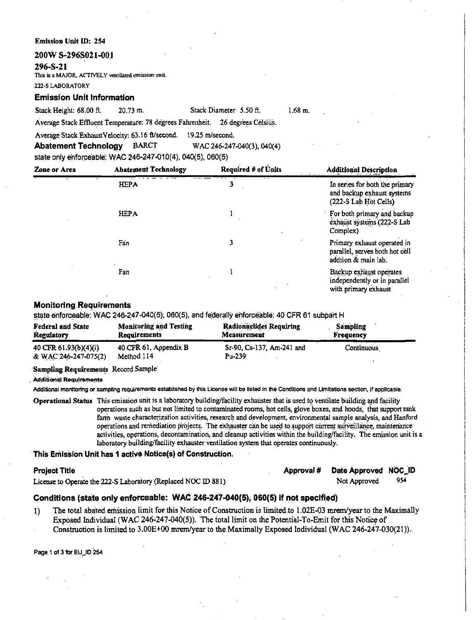## **Emission Unit ID: 254**

# 200W S-296S021-001

# 296-S-21

This is a MAJOR, ACTIVELY ventilated emission unit.

222-S LABORATORY

# **Emission Unit Information**

Stack Height: 68.00 ft. Stack Diameter 5.50 ft.  $20.73 \text{ m}$ .  $1.68 m.$ 

Average Stack Effluent Temperature: 78 degrees Fahrenheit. 26 degrees Celsius.

Average Stack ExhaustVelocity: 63.16 ft/second. 19.25 m/second.

WAC:246-247-040(3), 040(4) **Abatement Technology BARCT** 

state only enforceable: WAC 246-247-010(4), 040(5), 060(5)

| Zone or Area | <b>Abatement Technology</b> | <b>Required # of Units</b> | <b>Additional Description</b>                                                         |
|--------------|-----------------------------|----------------------------|---------------------------------------------------------------------------------------|
|              | <b>HEPA</b>                 | .3                         | In series for both the primary<br>and backup exhaust systems<br>(222-S Lab Hot Cells) |
|              | <b>HEPA</b>                 |                            | For both primary and backup<br>exhaust systems (222-S Lab<br>Complex)                 |
|              | Fan                         | 3                          | Primary exhaust operated in<br>parallel, serves both hot cell<br>addtion & main lab.  |
|              | Fan                         |                            | Backup exhaust operates<br>independently or in parallel<br>with primary exhaust       |

# **Monitoring Requirements**

# state enforceable: WAC 246-247-040(5), 060(5), and federally enforceable: 40 CFR 61 subpart H

| <b>Federal and State</b> | <b>Monitoring and Testing</b> | Radionuclides Requiring   | Sampling   |
|--------------------------|-------------------------------|---------------------------|------------|
| Regulatory               | Requirements                  | <b>Measurement</b>        | Frequency  |
| 40 CFR 61.93(b)(4)(i)    | 40 CFR 61, Appendix B         | Sr-90, Cs-137, Am-241 and | Continuous |
| & WAC 246-247-075(2)     | Method 114                    | $Pu-239$                  |            |

# Sampling Requirements Record Sample

**Additional Regulrements** 

Additional monitoring or sampling requirements established by this License will be listed in the Conditions and Limitations section, if apolicable.

Operational Status This emission unit is a laboratory building/facility exhauster that is used to ventilate building and facility operations such as but not limited to contaminated rooms, hot cells, glove boxes, and hoods, that support tank farm waste characterization activities, research and development, environmental sample analysis, and Hanford operations and remediation projects. The exhauster can be used to support current surveillance, maintenance activities, operations, decontamination, and cleanup activities within the building/facility. The emission unit is a laboratory building/facility exhauster ventilation system that operates continuously.

# This Emission Unit has 1 active Notice(s) of Construction.

# **Project Title**

|                                      |  | Approval # Date Approved NOC_ID |      |
|--------------------------------------|--|---------------------------------|------|
| 2-S Laboratory (Replaced NOC ID 881) |  | Not Approved                    | -954 |

License to Operate the 222-S Laboratory (Replaced NOC ID 881)

# Conditions (state only enforceable: WAC 246-247-040(5), 060(5) if not specified)

The total abated emission limit for this Notice of Construction is limited to 1.02E-03 mrem/year to the Maximally  $\bf{1}$ Exposed Individual (WAC 246-247-040(5)). The total limit on the Potential-To-Emit for this Notice of Construction is limited to 3.00E+00 mrem/year to the Maximally Exposed Individual (WAC 246-247-030(21)).

Page 1 of 3 for EU\_ID 254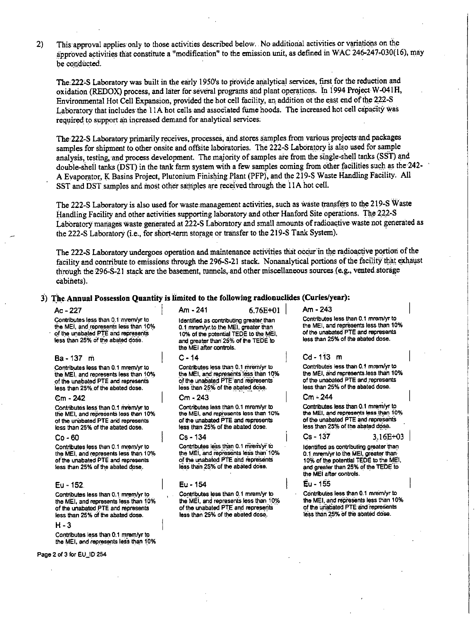2) This approval applies only to those activities described below. No additional activities or variations on the approved activities that constitute a "modification" to the emission unit, as defined in WAC 246-247-030(16), may be conducted.

The:222<S Laboratory was built in the early 1950's to provide analytical services, first for the reduction and oxidation (REDOX) process, and later for several programs and plant operations. In 1994 Project W-041H, Environmental Hot Cell Expansion, provided the hot cell facility, an addition ot the east end of the 222-S Laboratory that includes the 11A hot cells and associated fume hoods. The increased hot cell capacity was required to support an increased demand for analytical services;

The 222-S Laboratory primarily receives, processes, and stores samples from various projects and packages samples for shipment to other onsite and offsite laboratories. The 222-S Laboratory is also used for sample analysis, testing, and process development. The majority of samples are from the single-shell tanks (SST) and double-sheil tanks (DST) in the tank farm system with a few samples coming from other facilities such as the-242- A Evaporator, K Basins Project, Plutonium Finishing Plant (PFP), and the 219-S Waste Handling Facility. All SST and DST samples and most other samples are received through the 11A hot cell.

The 222-S Laboratory is also used for waste management activities, such as waste transfers to the 219-S Waste Handling Facility and other activities supporting laboratory and other Hanford Site operations. The 222-S Laboratory manages waste generated at 222-S Laboratory and small amounts of radioactive waste not generated as the 222-S Laboratory (i.e., for short-term storage or transfer to the 219-S Tank System).

The 222-S Laboratory undergoes operation and maintenance activities that occur in the radioactive portion of the facility and contribute to emissions through the 296-S-21 stack. Nonanalytical portions of the facility that exhaust through the 296-S-21 stack are the basement, tunnels, and other miscellaneous sources (e.g., vented storage  $cabilities.$ 

# 3) The Annual Possession Quantity is limited to the following radionuclides (Curies/year):

**Contributes less than 0.1 mrem/yr to** the MEI, and represents less than 10%  $of$  the unabated PTE and represents less than 25% of the abated dose.

## Ba-137 ni

Contributes less than 0.1 mrem/yr to **the\_ MEI, and represents less than 10% of the unabated PTE and represents** - **·,ess than 25%.of the abated dose.** 

# em **-242**

Contributes less than 0.1 mrem/yr to the MEI, and represents less than 10% **of the unabated PTE and represents**  less than 25% of the abated dose.

#### Co-60

Contributes less than 0.1 mrem/yr to the MEI, and represents less than 10% **of the unabated PTE and represents**  less than 25% of the abated dose.

## Eu - 152

Contributes less than<sup>: 0, 1</sup> mrem/yr to the MEI, and represents less than 10% of the unabated PTE and represents less than 25% of the abated dose.

H-3

Contributes less than 0.1 mrem/yr to the MEI, and represents less than 10%

**Page** 2 of 3 for EU\_ID 254

 $Ac - 227$  Am -241 6.76E+01 Am -243

Identified as contributing greater than 0.1 mrem/yr.to the MEI, greater than 10% of the potentiaj TEQE to the MEI, and greater than 25% of the TEDE to the MEI after controls.

## C-14

**Contributes less \_than 0.1\_ rfll'em/yr to**  the MEI, and represents less than 10% of the unabated PTE<sup>1</sup> and represents  $18$ ss than 25% of the abated dose.

#### Cm-243

**Contributes less than 0.1 mremlyr. to the MEI, and.represents less than 10% of the unabated PTE and. represents**  less than 25% of the abated dose.

## Cs -134

Contributes less than 0.1 mirem/yr to the MEI, and represents less than 10% **Of the unabated PTE arid 1'8preseints**  less than 25% of the abated dose.

#### Eu - 154

Contributes less than 0.1 mrem/yr ID **the MEI**, and represents less than 10%  $\overline{\text{of the unabated PTE and repressents}}$ **less than 25% of the abated dose\_.** 

Contributes less than 0.1 mrem/yr to **the MEI, and represents less than 10% of the unabated · PTE and represents**  less than 25% of the abated dose.

# Cd-113 m

**Contributes less thail 0.1 mremlyr to**  the MEI, and represents less than 10% of the unabated PTE and represents less than 25% of the abated dosa.

#### Cm-.244

Contributes less than 0.1 mrem/yr ID **the MEI, and represents less than 10%**  of the unabated PTE and repraserrts  $\frac{1}{25\%}$  of the abated dose.

# $Cs - 137$   $3.16E + 03$

Identified as contributing greater than 0.1 mrem/yr to the MEI, greater than 10% of the potential TEDE to the MEI. and greater than 25% of the TEDE to **the MEI after controJs.** 

Eu -1ss

**Contributes less than 0.1 mrem/yr to** the MEI. and represents less than 10% **of lhe wiali.ited PTE·8nd ·represents 1ess than 25% of the abated dose.**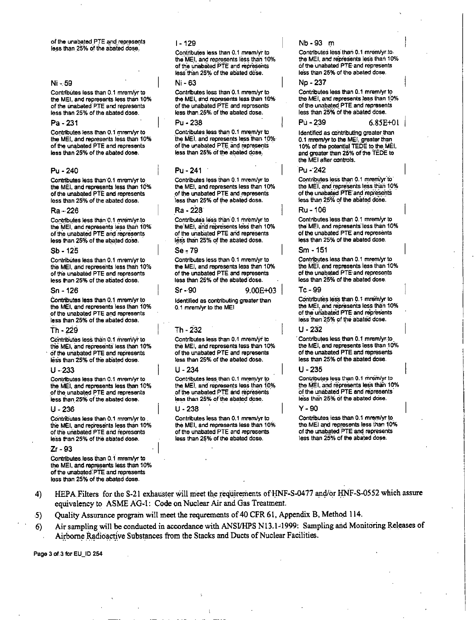of the unabated PTE and represents less than 25% of the abated dose.

## Ni - 59

Contributes less than 0.1 mrem/yr to the MEI, and represents less than 10% of the unabated PTE and represents less than 25% of the abated dose.

# Pa - 231

Contributes less than 0.1 mrem/yr to the MEI, and represents less than 10% of the unabated PTE and represents less than 25% of the abated dose.

# Pu - 240

Contributes less than 0.1 mrem/yr to the MEI, and represents less than 10% of the unabated PTE and represents less than 25% of the abated dose.

#### Ra - 226

Contributes less than 0.1 mrem/yr to the MEI and represents less than 10% of the unabated PTE and represents less than 25% of the abated dose.

## Sb - 125

Contribútes less than 0.1 mrem/yr to the MEI, and represents less than 10% of the unabated PTE and represents less than 25% of the abated dose.

### Sn - 126

Contributes less than 0.1 mrem/yr to the MEI, and represents less than 10% of the unabated PTE and represents less than 25% of the abated dose.

### Th - 229

Contributes less than 0.1 mrem/yr to the MEI, and represents less than 10% of the unabated PTE and represents less than 25% of the abated dose.

#### $U - 233$

Contributes less than 0.1 mrem/vr to the MEI, and represents less than 10% of the unabated PTE and represents less than 25% of the abated dose.

#### U - 236

Contributes less than 0.1 mrem/yr to the MEI, and represents less than 10% of the unabated PTE and represents less than 25% of the abated dose.

#### Zr - 93

Contributes less than 0.1 mrem/yr to the MEI, and represents less than 10% of the unabated PTE and represents less than 25% of the abated dose.

# $1 - 129$

Contributes less than 0.1 mrem/yr to the MEI, and represents less than 10% of the unabated PTE and represents less than 25% of the abated dose.

#### Ni - 63

Contributes less than 0.1 mrem/yr to the MEI, and represents less than 10% of the unabated PTE and represents less than 25% of the abated dose.

# Pu - 238

Contributes less than 0.1 mrem/yr to the MEI, and represents less than 10% of the unabated PTE and represents less than 25% of the abated dose.

## $Pu - 241$

Contributes less than 0.1 mrem/yr to the MEI, and represents less than 10% of the unabated PTE and represents less than 25% of the abated dose.

# Ra - 228

Contributes less than 0.1 mrem/yr to the MEI, and represents less than 10% of the unabated PTE and represents less than 25% of the abated dose.

# $Se-79$

Contributes less than 0.1 mrem/yr to the MEI, and represents less than 10% of the unabated PTE and represents less than 25% of the abated dose.

# $Sr-90$

Identified as contributing greater than 0.1 mrem/yr to the MEI

 $9.00E + 03$ 

# Th - 232

Contributes less than 0.1 mrem/yr to the MEI, and represents less than 10% of the unabated PTE and represents less than 25% of the abated dose.

#### U - 234

Contributes less than 0.1 mrem/yr to the MEI, and represents less than 10% of the unabated PTE and represents less than 25% of the abated dose.

#### U - 238

Contributes less than 0.1 mrem/yr to the MEI, and represents less than 10% of the unabated PTE and represents less than 25% of the abated dose.

Nb-93 m

Contributes less than 0.1 mrem/yr.to. the MFI and represents less than 10% of the unabated PTE and represents less than 25% of the abated dose.

## No - 237

Pú - 239

Contributes less than 0.1 mrem/vr to the MEI, and represents less than 10% of the unabated PTE and represents less than 25% of the abated dose.

#### $6.85E + 01$

Identified as contributing greater than 0.1 mrem/yr to the MEI, greater than 10% of the potential TEDE to the MEI, and greater than 25% of the TEDE to the MEI after controls.

### Pu - 242

Contributes less than 0.1 mrem/yr to the MEI, and represents less than 10% of the unabated PTE and represents less than 25% of the abated dose.

## Ru - 106

Contributes less than 0.1 mrem/yr to the MEI, and represents less than 10% of the unabated PTE and represents less than 25% of the abated dose.

## Sm - 151

Contributes less than 0.1 mrem/yr to the MEI, and represents less than 10% of the unabated PTE and represents less than 25% of the abated dose.

### Tc - 99

Contributes less than 0.1 mrem/yr to the MEI, and represents less than 10% of the unabated PTE and represents less than 25% of the abated dose.

# U - 232

Contributes less than 0.1 mrem/yr.to the MEI, and represents less than 10% of the unabated PTE and represents less than 25% of the abated dose.

## $U - 235$

Contributes less than 0.1 mrem/yr to the MEI, and represents less than 10% of the unabated PTE and represents less than 25% of the abated dose.

## $Y - 90$

Contributes less than 0.1 mrem/yr to the MEI and represents less than 10% of the unabated PTE and represents less than 25% of the abated dose.

- HEPA Filters for the S-21 exhauster will meet the requirements of HNF-S-0477 and/or HNF-S-0552 which assure  $4)$ equivalency to ASME AG-1: Code on Nuclear Air and Gas Treatment.
- Quality Assurance program will meet the requrements of 40 CFR 61, Appendix B, Method 114.  $-5)$
- Air sampling will be conducted in accordance with ANSI/HPS N13.1-1999: Sampling and Monitoring Releases of  $6)$ Airborne Radioactive Substances from the Stacks and Ducts of Nuclear Facilities.

Page 3 of 3 for EU ID 254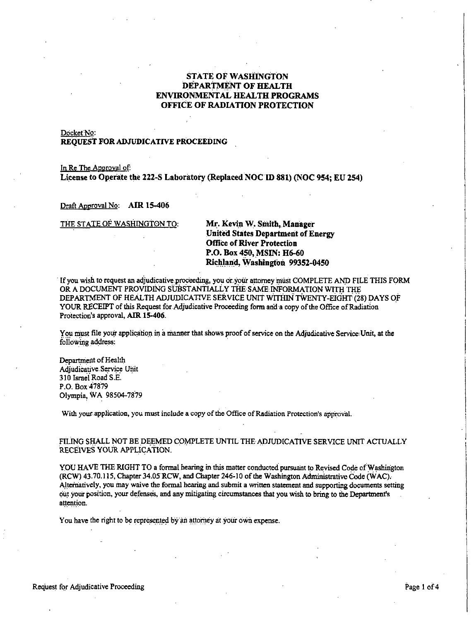# STATE OF WASHINGTON DEPARTMENT OF HEALTH ENVIRONMENTAL HEALTH PROGRAMS OFFICE OF RADIATION PROTECTION

## Docket No:

# **REQUEST FOR ADJUDICATIVE PROCEEDING**

In Re The Approval of: **License to Operate the 222-S Laboratory (Replaced NOCID 881) (NOC 954; EU 254)** 

Draft Approval No: **AIR 15-406** 

THE STATE OF WASHINGTON TO: **Mr. Kevin W. Smith, Manager** 

**United States Department of Energy Office of River Protection P.O. Box 450, MSIN: H6-60 Riehl.and, Washington 99352-0450** 

If you wish to request an adjudicative proceeding, you or your attorney must COMPLETE AND FILE THIS FORM OR A DOCUMENT PROVIDING SUBSTANTIALLY THE SAME·INFORMATION WITH THE DEPARTMENT OF HEALTH ADJUDICATIVE SERVICE UNIT WITHIN TWENTY-EIGHT (28) DAYS OF YOUR RECEIPT of this Request for.Adjudicative Proceeding form and a copy of the Office of Radiation Protection's approval, **AIR 15-406**.

You must file your application in a manner that shows proof of service on the Adjudicative Service Unit, at the following address:

Department of Health Adjudicative Service Unit 310 Israel Road S.E. P.O. Box 47879 Olympia, WA 98504-7879

With your application, you must include a copy of the Office of Radiation Protection's approval.

FILING SHALL NOT BE DEEMED COMPLETE UNTIL THE ADJUDICATIVE SERVICE UNIT ACTUALLY RECEIVES YOUR APPLICATION.

YOU HAVE THE RIGHT TO a formal hearing in this matter conducted pursuant to Revised Code of Washington (RCW) 43. 70.115, Chapter 34.05 RCW, and Chapter 246°10 of the Washington Administrative Code (WAC). Alternatively, you may waive the formal hearing and submit a written statement and supporting documents setting out your position, your defenses, and any mitigating circumstances that you wish to bring to the Department's attention.

You have the right to be represented by an attorney at your own expense.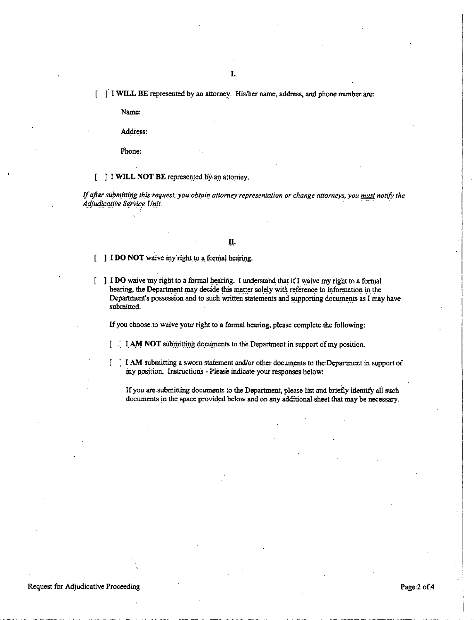[ ] I WILL BE represented by an attorney. His/her name, address, and phone number are:

Name:

Address:

Phone:

[ ] I WILL NOT BE represented by an attorney.

If after submitting this request, you obtain attorney representation or change attorneys, you must notify the Adjudicative Service Unit.

II.

 $\begin{bmatrix} 1 \end{bmatrix}$  **IDO NOT** waive my right to a formal hearing.

[] I DO waive my right to a formal hearing. I understand that if I waive my right to a formal hearing, the Department may decide this matter solely with reference to information in the Department's possession and to such written statements and supporting documents as I may have submitted.

If you choose to waive your right to a formal hearing, please complete the following:

[ ] I AM NOT submitting documents to the Department in support of my position.

[] I AM submitting a sworn statement and/or other documents to the Department in support of my position. Instructions - Please indicate your responses below:

If you are submitting documents to the Department, please list and briefly identify all such documents in the space provided below and on any additional sheet that may be necessary.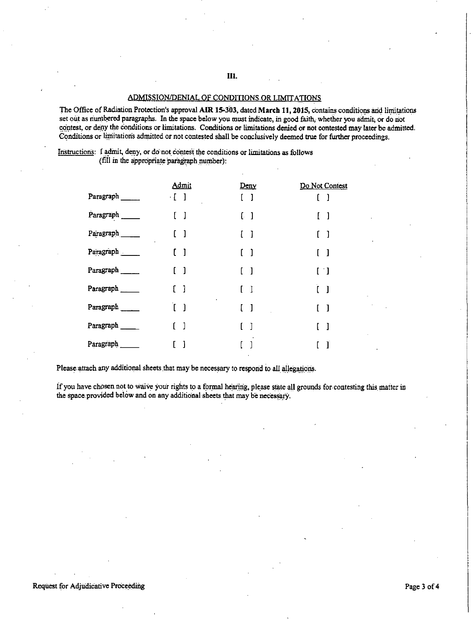# ADMISSION/DENIAL OF CONDITIONS OR LIMITATIONS

The Office of Radiation Protection's approval AIR 15-303, dated March 11, 2015, contains conditions and limitations set out as numbered paragraphs. In the space below you must indicate, in good faith, whether you admit, or do not contest, or deny the conditions or limitations. Conditions or limitations denied or not contested may later be admitted. Conditions or limitations admitted or not contested shall be conclusively deemed true for further proceedings.

Instructions: I admit, deny, or do not contest the conditions or limitations as follows

(fill in the appropriate paragraph number):

|           | Admit                             | <u>Deny</u>                       | Do Not Contest                                      |
|-----------|-----------------------------------|-----------------------------------|-----------------------------------------------------|
| Paragraph | $\cdot$ [ ]                       | $[\quad]$                         | ſ<br>-1                                             |
| Paragraph | J<br>L                            | $\begin{bmatrix} 1 \end{bmatrix}$ | $\begin{bmatrix} \end{bmatrix}$                     |
| Paragraph | -1                                | $\begin{bmatrix} 1 \end{bmatrix}$ | $\begin{bmatrix} 1 \end{bmatrix}$                   |
| Paragraph | $\mathbf{I}$<br>ſ.                | $\begin{bmatrix} 1 \end{bmatrix}$ | ſ<br>-1                                             |
| Paragraph | $\begin{bmatrix} 1 \end{bmatrix}$ | $\begin{bmatrix} 1 \end{bmatrix}$ | $\left[ \begin{array}{c} \cdot \end{array} \right]$ |
| Paragraph | $\begin{bmatrix} 1 \end{bmatrix}$ | $\begin{bmatrix} \end{bmatrix}$   | ľ.<br>-1                                            |
| Paragraph | $\begin{bmatrix} 1 \end{bmatrix}$ | $\begin{bmatrix} \end{bmatrix}$   | $\mathbf{I}$                                        |
| Paragraph | 1<br>L                            |                                   | J                                                   |
| Paragraph | ì                                 |                                   |                                                     |

Please attach any additional sheets that may be necessary to respond to all allegations.

If you have chosen not to waive your rights to a formal hearing, please state all grounds for contesting this matter in the space provided below and on any additional sheets that may be necessary.

**Ill.**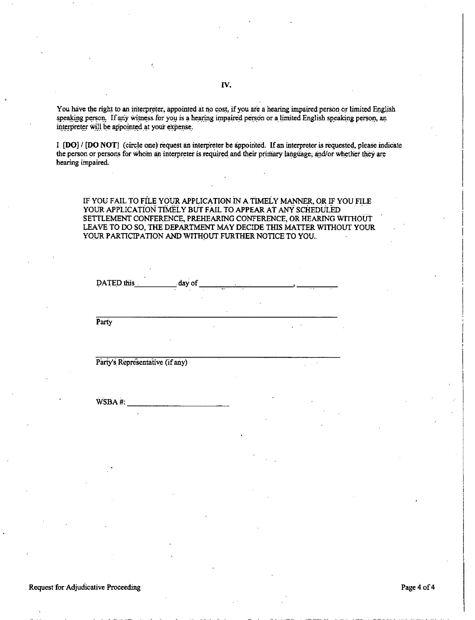You have the right to an interpreter, appointed at no cost, if you are a hearing impaired person or limited English speaking person. If any witness for you is a hearing impaired person or a limited English speaking person, an interpreter will be appointed at your expense.

I **[DO] / [DO NOT]** (circle one) request an interpreter be appointed. If an interpreter is requested, please indicate the person or persons for whom an interpreter is required and their primary language; and/or whether they are hearing impaired.

IF YOU FAIL TO FILE YOUR APPLICATION iN A TIMELY MANNER, ORIF YOU FILE YOUR APPLICATION TIMELY BUT FAIL TO APPEAR AT ANY SCHEDULED SETTLEMENT CONFERENCE, PREHEARING CONFERENCE, OR HEARING WITHOUT LEA VE TO DO SO, THE DEPARTMENT MAY DECIDE THIS MATTER WITHOUT YOUR YOUR PARTICIPATION AND WITHOUT FURTHER NOTICE TO YOU.

| DATED this                      | $_$ day of $_$<br>كالومشامين<br>٠ |   |
|---------------------------------|-----------------------------------|---|
|                                 |                                   |   |
| Party                           |                                   |   |
|                                 |                                   |   |
| Party's Representative (if any) |                                   |   |
|                                 |                                   |   |
| WSBA#:<br>٠                     |                                   | ٠ |

Request for Adjudicative Proceeding examples of 4 and 200 minutes and 200 minutes of 4 and 200 minutes and 200 minutes and 200 minutes and 200 minutes and 200 minutes and 200 minutes and 200 minutes and 200 minutes and 200